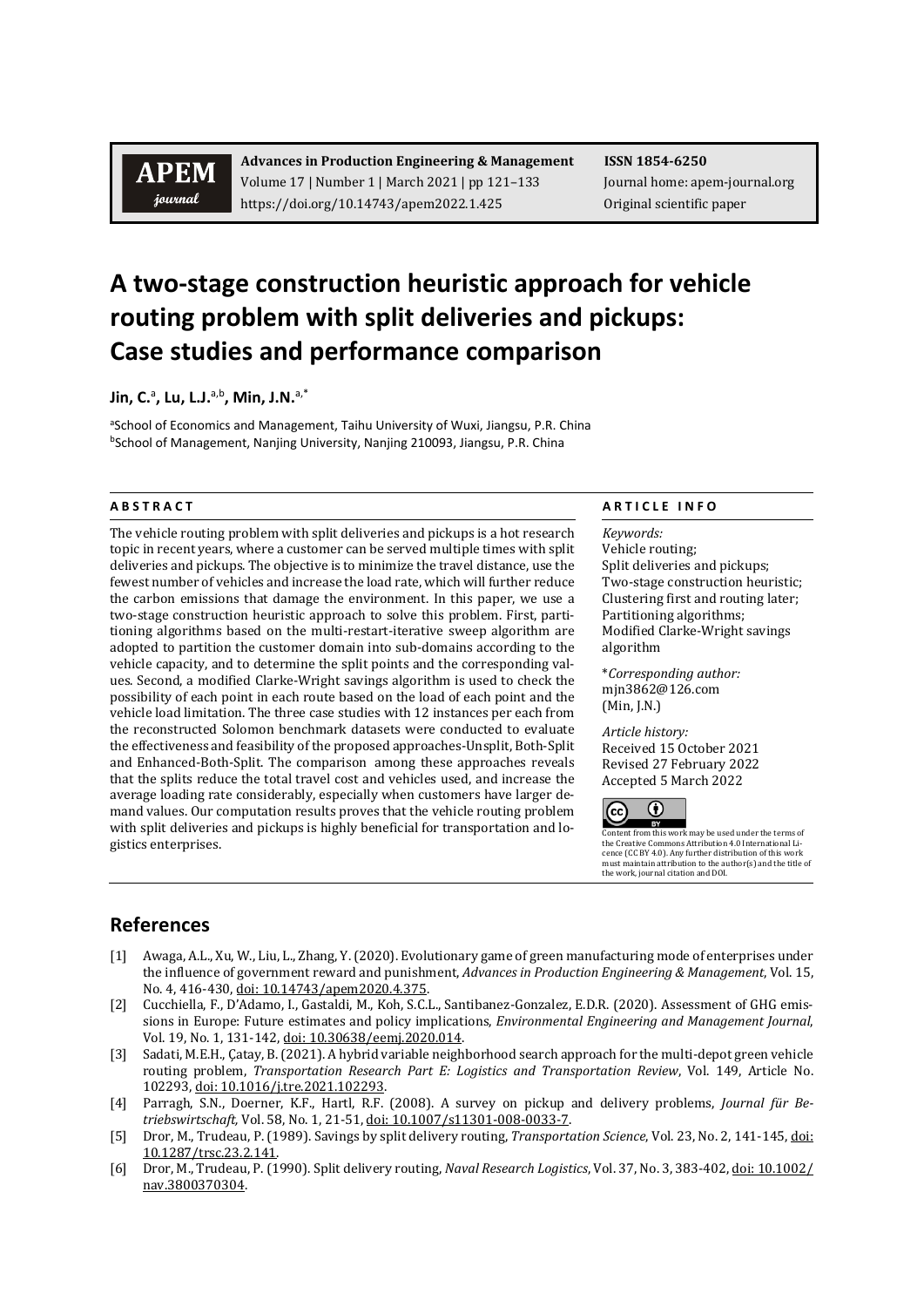# **APEM** journal

**Advances in Production Engineering & Management ISSN 1854-6250** Volume 17 | Number 1 | March 2021 | pp 121-133 Journal home: apem-journal.org https://doi.org/10.14743/apem2022.1.425 Original scientific paper

# **A two-stage construction heuristic approach for vehicle routing problem with split deliveries and pickups: Case studies and performance comparison**

**Jin, C.**<sup>a</sup> **, Lu, L.J.** a,b **, Min, J.N.** a,\*

aSchool of Economics and Management, Taihu University of Wuxi, Jiangsu, P.R. China bSchool of Management, Nanjing University, Nanjing 210093, Jiangsu, P.R. China

The vehicle routing problem with split deliveries and pickups is a hot research topic in recent years, where a customer can be served multiple times with split deliveries and pickups. The objective is to minimize the travel distance, use the fewest number of vehicles and increase the load rate, which will further reduce the carbon emissions that damage the environment. In this paper, we use a two-stage construction heuristic approach to solve this problem. First, partitioning algorithms based on the multi-restart-iterative sweep algorithm are adopted to partition the customer domain into sub-domains according to the vehicle capacity, and to determine the split points and the corresponding values. Second, a modified Clarke-Wright savings algorithm is used to check the possibility of each point in each route based on the load of each point and the vehicle load limitation. The three case studies with 12 instances per each from the reconstructed Solomon benchmark datasets were conducted to evaluate the effectiveness and feasibility of the proposed approaches-Unsplit, Both-Split and Enhanced-Both-Split. The comparison among these approaches reveals that the splits reduce the total travel cost and vehicles used, and increase the average loading rate considerably, especially when customers have larger demand values. Our computation results proves that the vehicle routing problem with split deliveries and pickups is highly beneficial for transportation and logistics enterprises.

### **A B S T R A C T A R T I C L E I N F O**

*Keywords:* Vehicle routing; Split deliveries and pickups; Two-stage construction heuristic; Clustering first and routing later; Partitioning algorithms; Modified Clarke-Wright savings algorithm

\**Corresponding author:*  mjn3862@126.com (Min, J.N.)

*Article history:*  Received 15 October 2021 Revised 27 February 2022 Accepted 5 March 2022



Content from this work may be used under the terms of<br>the Creative Commons Attribution 4.0 International Lithe Creative Commons Attribution 4.0 International Li-cence (CC BY 4.0). Any further distribution of this work must maintain attribution to the author(s) and the title of the work, journal citation and DOI.

## **References**

- [1] Awaga, A.L., Xu, W., Liu, L., Zhang, Y. (2020). Evolutionary game of green manufacturing mode of enterprises under the influence of government reward and punishment, *Advances in Production Engineering & Management*, Vol. 15, No. 4, 416-430[, doi: 10.14743/apem2020.4.375.](https://doi.org/10.14743/apem2020.4.375)
- [2] Cucchiella, F., D'Adamo, I., Gastaldi, M., Koh, S.C.L., Santibanez-Gonzalez, E.D.R. (2020). Assessment of GHG emissions in Europe: Future estimates and policy implications, *Environmental Engineering and Management Journal*, Vol. 19, No. 1, 131-142[, doi: 10.30638/eemj.2020.014.](https://doi.org/10.30638/eemj.2020.014)
- [3] Sadati, M.E.H., Çatay, B. (2021). A hybrid variable neighborhood search approach for the multi-depot green vehicle routing problem, *Transportation Research Part E: Logistics and Transportation Review*, Vol. 149, Article No. 102293, [doi: 10.1016/j.tre.2021.102293.](https://doi.org/10.1016/j.tre.2021.102293)
- [4] Parragh, S.N., Doerner, K.F., Hartl, R.F. (2008). A survey on pickup and delivery problems, *Journal für Betriebswirtschaft,* Vol. 58, No. 1, 21-51[, doi: 10.1007/s11301-008-0033-7.](http://doi.org/10.1007/s11301-008-0033-7)
- [5] Dror, M., Trudeau, P. (1989). Savings by split delivery routing, *Transportation Science*, Vol. 23, No. 2, 141-145[, doi:](http://doi.org/10.1287/trsc.23.2.141)  [10.1287/trsc.23.2.141.](http://doi.org/10.1287/trsc.23.2.141)
- [6] Dror, M., Trudeau, P. (1990). Split delivery routing, *Naval Research Logistics*, Vol. 37, No. 3, 383-402[, doi: 10.1002/](https://doi.org/10.1002/nav.3800370304) [nav.3800370304.](https://doi.org/10.1002/nav.3800370304)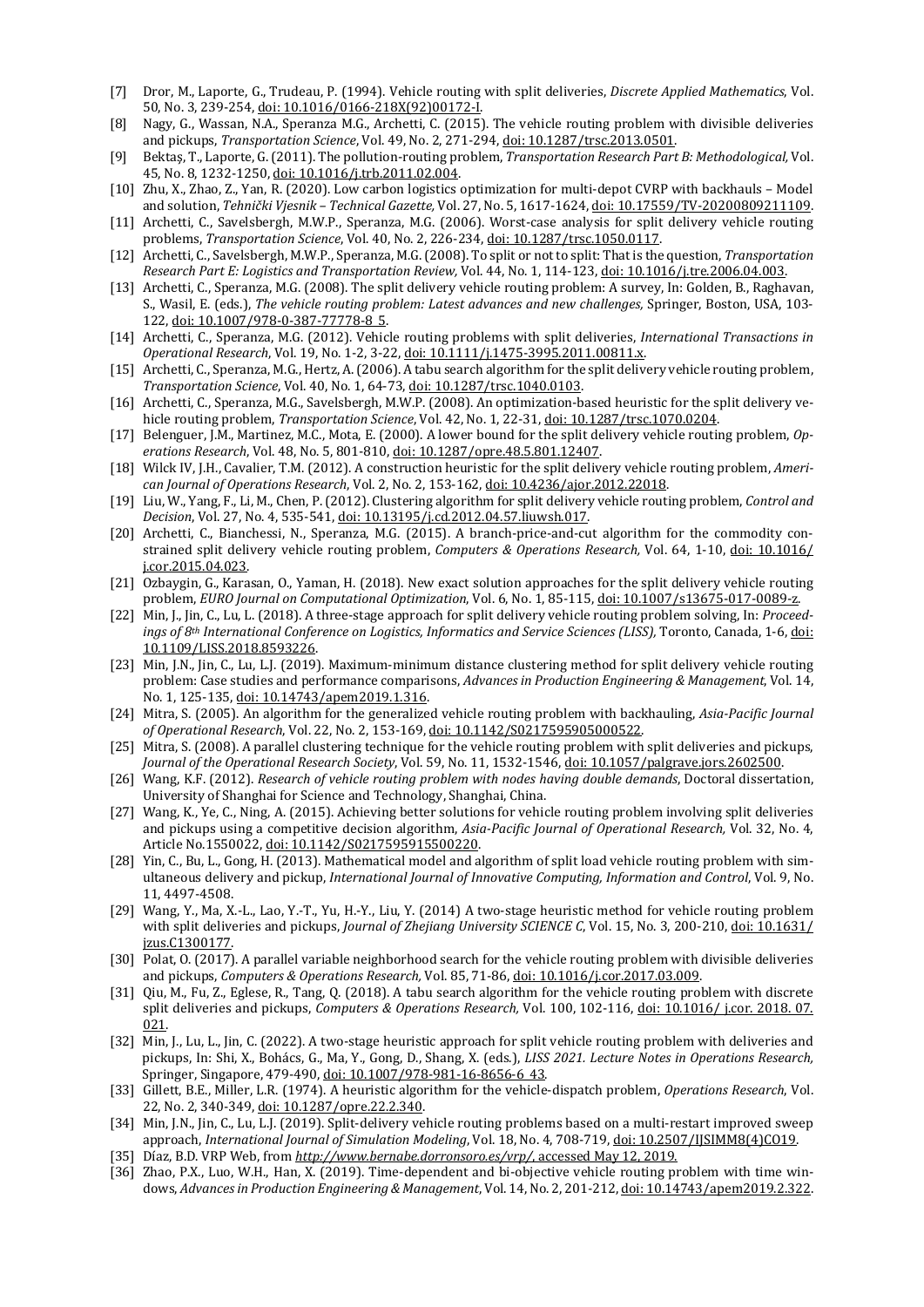- [7] Dror, M., Laporte, G., Trudeau, P. (1994). Vehicle routing with split deliveries, *Discrete Applied Mathematics*, Vol. 50, No. 3, 239-254[, doi: 10.1016/0166-218X\(92\)00172-I.](http://doi.org/10.1016/0166-218X(92)00172-I)
- [8] Nagy, G., Wassan, N.A., Speranza M.G., Archetti, C. (2015). The vehicle routing problem with divisible deliveries and pickups, *Transportation Science*, Vol. 49, No. 2, 271-294[, doi: 10.1287/trsc.2013.0501.](http://doi.org/10.1287/trsc.2013.0501)
- [9] Bektaş, T., Laporte, G. (2011). The pollution-routing problem, *Transportation Research Part B: Methodological,* Vol. 45, No. 8, 1232-1250[, doi: 10.1016/j.trb.2011.02.004.](https://doi.org/10.1016/j.trb.2011.02.004)
- [10] Zhu, X., Zhao, Z., Yan, R. (2020). Low carbon logistics optimization for multi-depot CVRP with backhauls Model and solution, *Tehnički Vjesnik – Technical Gazette,* Vol. 27, No. 5, 1617-1624[, doi: 10.17559/TV-20200809211109.](https://doi.org/10.17559/TV-20200809211109)
- [11] Archetti, C., Savelsbergh, M.W.P., Speranza, M.G. (2006). Worst-case analysis for split delivery vehicle routing problems, *Transportation Science*, Vol. 40, No. 2, 226-234, [doi: 10.1287/trsc.1050.0117.](https://doi.org/10.1287/trsc.1050.0117)
- [12] Archetti, C., Savelsbergh, M.W.P., Speranza, M.G. (2008). To split or not to split: That is the question, *Transportation Research Part E: Logistics and Transportation Review,* Vol. 44, No. 1, 114-123[, doi: 10.1016/j.tre.2006.04.003.](https://doi.org/10.1016/j.tre.2006.04.003)
- [13] Archetti, C., Speranza, M.G. (2008). The split delivery vehicle routing problem: A survey, In: Golden, B., Raghavan, S., Wasil, E. (eds.), *The vehicle routing problem: Latest advances and new challenges,* Springer, Boston, USA, 103- 122, doi: [10.1007/978-0-387-77778-8\\_5.](http://doi.org/10.1007/978-0-387-77778-8_5)
- [14] Archetti, C., Speranza, M.G. (2012). Vehicle routing problems with split deliveries, *International Transactions in Operational Research*, Vol. 19, No. 1-2, 3-22[, doi: 10.1111/j.1475-3995.2011.00811.x.](https://doi.org/10.1111/j.1475-3995.2011.00811.x)
- [15] Archetti, C., Speranza, M.G., Hertz, A. (2006). A tabu search algorithm for the split delivery vehicle routing problem, *Transportation Science*, Vol. 40, No. 1, 64-73[, doi: 10.1287/trsc.1040.0103.](http://doi.org/10.1287/trsc.1040.0103)
- [16] Archetti, C., Speranza, M.G., Savelsbergh, M.W.P. (2008). An optimization-based heuristic for the split delivery vehicle routing problem, *Transportation Science*, Vol. 42, No. 1, 22-31[, doi: 10.1287/trsc.1070.0204.](http://doi.org/10.1287/trsc.1070.0204)
- [17] Belenguer, J.M., Martinez, M.C., Mota, E. (2000). A lower bound for the split delivery vehicle routing problem, *Operations Research*, Vol. 48, No. 5, 801-810[, doi: 10.1287/opre.48.5.801.12407.](http://doi.org/10.1287/opre.48.5.801.12407)
- [18] Wilck IV, J.H., Cavalier, T.M. (2012). A construction heuristic for the split delivery vehicle routing problem, *American Journal of Operations Research*, Vol. 2, No. 2, 153-162[, doi: 10.4236/ajor.2012.22018.](https://doi.org/10.4236/ajor.2012.22018)
- [19] Liu, W., Yang, F., Li, M., Chen, P. (2012). Clustering algorithm for split delivery vehicle routing problem, *Control and Decision*, Vol. 27, No. 4, 535-541[, doi: 10.13195/j.cd.2012.04.57.liuwsh.017.](https://doi.org/10.13195/j.cd.2012.04.57.liuwsh.017)
- [20] Archetti, C., Bianchessi, N., Speranza, M.G. (2015). A branch-price-and-cut algorithm for the commodity constrained split delivery vehicle routing problem, *Computers & Operations Research,* Vol. 64, 1-10, [doi: 10.1016/](https://doi.org/10.1016/j.cor.2015.04.023)  [j.cor.2015.04.023.](https://doi.org/10.1016/j.cor.2015.04.023)
- [21] Ozbaygin, G., Karasan, O., Yaman, H. (2018). New exact solution approaches for the split delivery vehicle routing problem, *EURO Journal on Computational Optimization*, Vol. 6, No. 1, 85-115[, doi: 10.1007/s13675-017-0089-z.](https://doi.org/10.1007/s13675-017-0089-z)
- [22] Min, J., Jin, C., Lu, L. (2018). A three-stage approach for split delivery vehicle routing problem solving, In: *Proceedings of 8th International Conference on Logistics, Informatics and Service Sciences (LISS),* Toronto, Canada, 1-6, [doi:](http://doi.org/10.1109/LISS.2018.8593226)  [10.1109/LISS.2018.8593226.](http://doi.org/10.1109/LISS.2018.8593226)
- [23] Min, J.N., Jin, C., Lu, L.J. (2019). Maximum-minimum distance clustering method for split delivery vehicle routing problem: Case studies and performance comparisons, *Advances in Production Engineering & Management*, Vol. 14, No. 1, 125-135[, doi: 10.14743/apem2019.1.316.](https://doi.org/10.14743/apem2019.1.316)
- [24] Mitra, S. (2005). An algorithm for the generalized vehicle routing problem with backhauling, *Asia-Pacific Journal of Operational Research*, Vol. 22, No. 2, 153-169[, doi: 10.1142/S0217595905000522.](https://doi.org/10.1142/S0217595905000522)
- [25] Mitra, S. (2008). A parallel clustering technique for the vehicle routing problem with split deliveries and pickups, *Journal of the Operational Research Society*, Vol. 59, No. 11, 1532-1546, [doi: 10.1057/palgrave.jors.2602500.](http://doi.org/10.1057/palgrave.jors.2602500)
- [26] Wang, K.F. (2012). *Research of vehicle routing problem with nodes having double demands*, Doctoral dissertation, University of Shanghai for Science and Technology, Shanghai, China.
- [27] Wang, K., Ye, C., Ning, A. (2015). Achieving better solutions for vehicle routing problem involving split deliveries and pickups using a competitive decision algorithm, *Asia-Pacific Journal of Operational Research,* Vol. 32, No. 4, Article No.1550022[, doi: 10.1142/S0217595915500220.](http://doi.org/10.1142/S0217595915500220)
- [28] Yin, C., Bu, L., Gong, H. (2013). Mathematical model and algorithm of split load vehicle routing problem with simultaneous delivery and pickup, *International Journal of Innovative Computing, Information and Control*, Vol. 9, No. 11, 4497-4508.
- [29] Wang, Y., Ma, X.-L., Lao, Y.-T., Yu, H.-Y., Liu, Y. (2014) A two-stage heuristic method for vehicle routing problem with split deliveries and pickups, *Journal of Zhejiang University SCIENCE C*, Vol. 15, No. 3, 200-210[, doi: 10.1631/](http://doi.org/10.1631/jzus.C1300177) [jzus.C1300177.](http://doi.org/10.1631/jzus.C1300177)
- [30] Polat, O. (2017). A parallel variable neighborhood search for the vehicle routing problem with divisible deliveries and pickups, *Computers & Operations Research,* Vol. 85, 71-86, [doi: 10.1016/j.cor.2017.03.009.](http://doi.org/10.1016/j.cor.2017.03.009)
- [31] Qiu, M., Fu, Z., Eglese, R., Tang, Q. (2018). A tabu search algorithm for the vehicle routing problem with discrete split deliveries and pickups, *Computers & Operations Research,* Vol. 100, 102-116, [doi: 10.1016/ j.cor. 2018. 07.](http://doi.org/10.1016/j.cor.2018.07.021)  [021.](http://doi.org/10.1016/j.cor.2018.07.021)
- [32] Min, J., Lu, L., Jin, C. (2022). A two-stage heuristic approach for split vehicle routing problem with deliveries and pickups, In: Shi, X., Bohács, G., Ma, Y., Gong, D., Shang, X. (eds.), *LISS 2021. Lecture Notes in Operations Research,* Springer, Singapore, 479-490, [doi: 10.1007/978-981-16-8656-6\\_43.](https://doi.org/10.1007/978-981-16-8656-6_43)
- [33] Gillett, B.E., Miller, L.R. (1974). A heuristic algorithm for the vehicle-dispatch problem, *Operations Research*, Vol. 22, No. 2, 340-349, [doi: 10.1287/opre.22.2.340.](https://doi.org/10.1287/opre.22.2.340)
- [34] Min, J.N., Jin, C., Lu, L.J. (2019). Split-delivery vehicle routing problems based on a multi-restart improved sweep approach, *International Journal of Simulation Modeling*, Vol. 18, No. 4, 708-719[, doi: 10.2507/IJSIMM8\(4\)CO19.](http://doi.org/10.2507/IJSIMM8(4)CO19)
- [35] Díaz, B.D. VRP Web, from *<http://www.bernabe.dorronsoro.es/vrp/>*, accessed May 12, 2019.
- [36] Zhao, P.X., Luo, W.H., Han, X. (2019). Time-dependent and bi-objective vehicle routing problem with time windows, *Advances in Production Engineering & Management*, Vol. 14, No. 2, 201-212[, doi: 10.14743/apem2019.2.322.](https://doi.org/10.14743/apem2019.2.322)